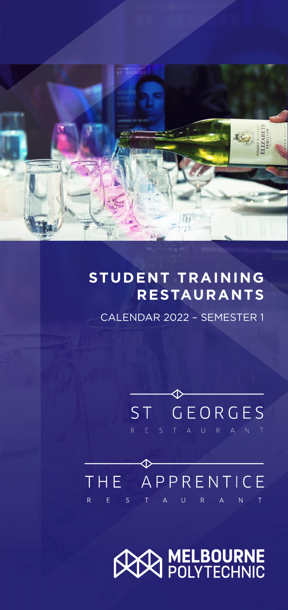

#### **STUDENT TRAINING RESTAURANTS**

CALENDAR 2022 - SEMESTER 1

# ST GEORGES

## ♦ THE APPRENTICE

## **AN MELBOURNE**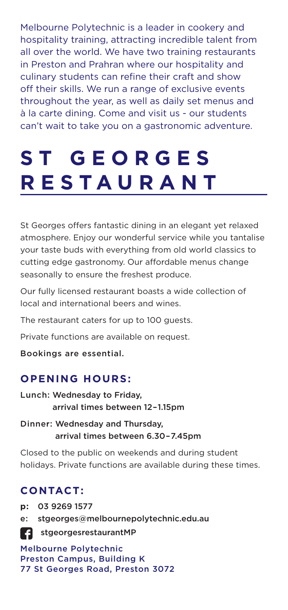Melbourne Polytechnic is a leader in cookery and hospitality training, attracting incredible talent from all over the world. We have two training restaurants in Preston and Prahran where our hospitality and culinary students can refine their craft and show off their skills. We run a range of exclusive events throughout the year, as well as daily set menus and à la carte dining. Come and visit us - our students can't wait to take you on a gastronomic adventure.

## **S T G E O R G E S RESTAURANT**

St Georges offers fantastic dining in an elegant yet relaxed atmosphere. Enjoy our wonderful service while you tantalise your taste buds with everything from old world classics to cutting edge gastronomy. Our affordable menus change seasonally to ensure the freshest produce.

Our fully licensed restaurant boasts a wide collection of local and international beers and wines.

The restaurant caters for up to 100 quests.

Private functions are available on request.

Bookings are essential.

#### **OPENING HOURS:**

- Lunch: Wednesday to Friday, arrival times between 12 – 1.15pm
- Dinner: Wednesday and Thursday, arrival times between 6.30 – 7.45pm

Closed to the public on weekends and during student holidays. Private functions are available during these times.

#### **CONTACT:**

**p:** 03 9269 1577

e: [stgeorges@melbournepolytechnic.edu.au](mailto:stgeorges%40melbournepolytechnic.edu.au?subject=)

[stgeorgesrestaurantMP](https://www.facebook.com/stgeorgesrestaurantMP/)

Melbourne Polytechnic Preston Campus, Building K 77 St Georges Road, Preston 3072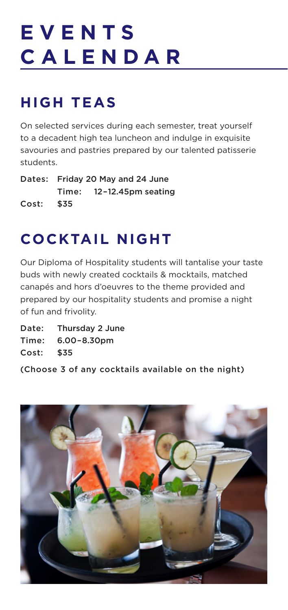## **E V E N T S CALENDAR**

## **HIGH TEAS**

On selected services during each semester, treat yourself to a decadent high tea luncheon and indulge in exquisite savouries and pastries prepared by our talented patisserie students.

Dates: Friday 20 May and 24 June Time: 12 – 12.45pm seating Cost: \$35

### **COCKTAIL NIGHT**

Our Diploma of Hospitality students will tantalise your taste buds with newly created cocktails & mocktails, matched canapés and hors d'oeuvres to the theme provided and prepared by our hospitality students and promise a night of fun and frivolity.

Date: Thursday 2 June Time: 6.00 – 8.30pm Cost: \$35

(Choose 3 of any cocktails available on the night)

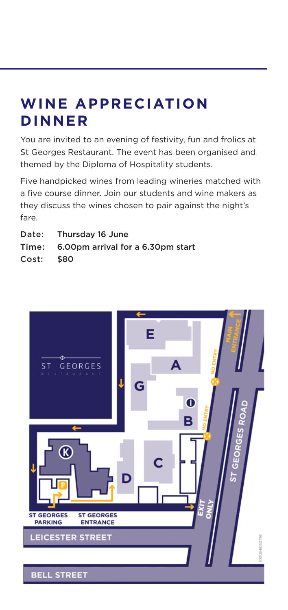#### **WINE APPRECIATION DINNER**

You are invited to an evening of festivity, fun and frolics at St Georges Restaurant. The event has been organised and themed by the Diploma of Hospitality students.

Five handpicked wines from leading wineries matched with a five course dinner. Join our students and wine makers as they discuss the wines chosen to pair against the night's fare.

- Date: Thursday 16 June
- Time: 6.00pm arrival for a 6.30pm start

Cost: \$80

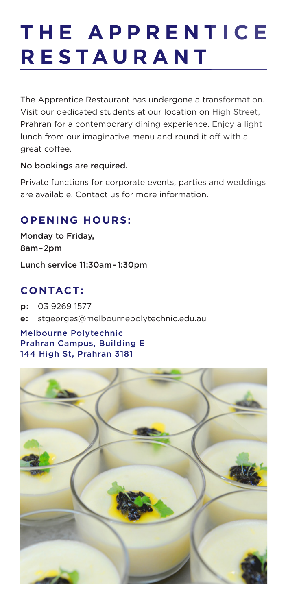## **T H E A P P R E N T I C E R E S TA U R A N T**

The Apprentice Restaurant has undergone a transformation. Visit our dedicated students at our location on High Street, Prahran for a contemporary dining experience. Enjoy a light lunch from our imaginative menu and round it off with a great coffee.

#### No bookings are required.

Private functions for corporate events, parties and weddings are available. Contact us for more information.

#### **OPENING HOURS:**

Monday to Friday, 8am – 2pm

Lunch service 11:30am – 1:30pm

#### **CONTACT:**

**p:** 03 9269 1577

**e:** stgeorges@melbournepolytechnic.edu.au

#### Melbourne Polytechnic Prahran Campus, Building E 144 High St, Prahran 3181